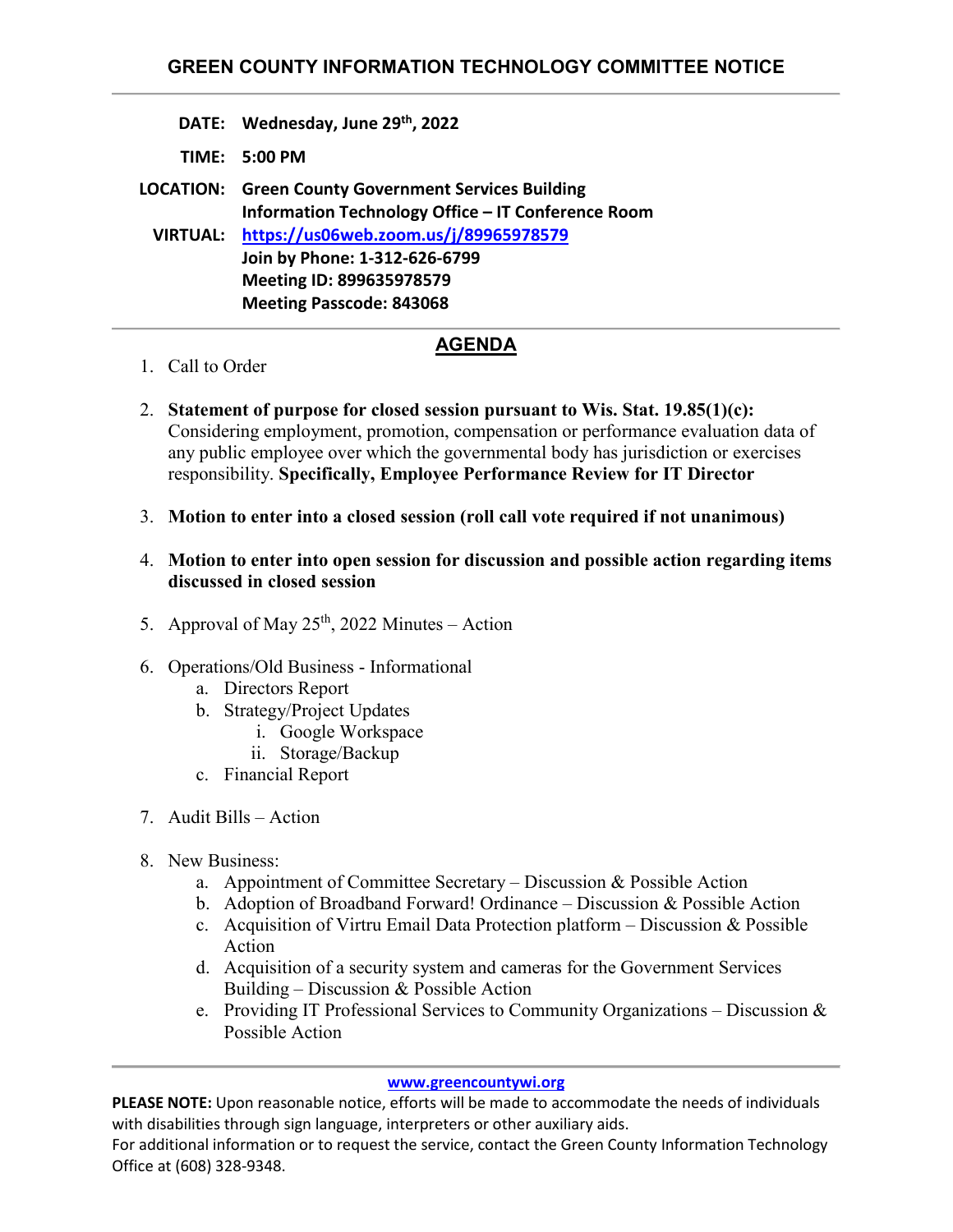- **DATE: Wednesday, June 29th, 2022**
- **TIME: 5:00 PM**

**LOCATION: Green County Government Services Building Information Technology Office – IT Conference Room VIRTUAL: [https://us06web.zoom.us/j/89965978579](https://us06web.zoom.us/j/89965978579?pwd=MTd4RXdvbVdQcjEyZ0ozenRadU9KZz09) Join by Phone: 1-312-626-6799 Meeting ID: 899635978579 Meeting Passcode: 843068**

## **AGENDA**

- 1. Call to Order
- 2. **Statement of purpose for closed session pursuant to Wis. Stat. 19.85(1)(c):** Considering employment, promotion, compensation or performance evaluation data of any public employee over which the governmental body has jurisdiction or exercises responsibility. **Specifically, Employee Performance Review for IT Director**
- 3. **Motion to enter into a closed session (roll call vote required if not unanimous)**
- 4. **Motion to enter into open session for discussion and possible action regarding items discussed in closed session**
- 5. Approval of May  $25<sup>th</sup>$ , 2022 Minutes Action
- 6. Operations/Old Business Informational
	- a. Directors Report
	- b. Strategy/Project Updates
		- i. Google Workspace
		- ii. Storage/Backup
	- c. Financial Report
- 7. Audit Bills Action
- 8. New Business:
	- a. Appointment of Committee Secretary Discussion & Possible Action
	- b. Adoption of Broadband Forward! Ordinance Discussion & Possible Action
	- c. Acquisition of Virtru Email Data Protection platform Discussion & Possible Action
	- d. Acquisition of a security system and cameras for the Government Services Building – Discussion & Possible Action
	- e. Providing IT Professional Services to Community Organizations Discussion & Possible Action

## **[www.greencountywi.org](http://www.greencountywi.org/)**

**PLEASE NOTE:** Upon reasonable notice, efforts will be made to accommodate the needs of individuals with disabilities through sign language, interpreters or other auxiliary aids.

For additional information or to request the service, contact the Green County Information Technology Office at (608) 328-9348.